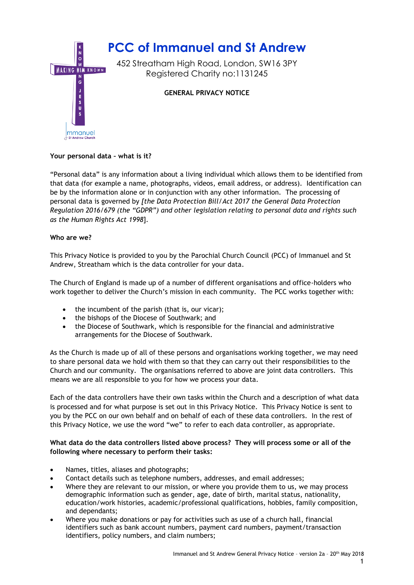

# **Your personal data – what is it?**

"Personal data" is any information about a living individual which allows them to be identified from that data (for example a name, photographs, videos, email address, or address). Identification can be by the information alone or in conjunction with any other information. The processing of personal data is governed by *[the Data Protection Bill/Act 2017 the General Data Protection Regulation 2016/679 (the "GDPR") and other legislation relating to personal data and rights such as the Human Rights Act 1998*].

### **Who are we?**

This Privacy Notice is provided to you by the Parochial Church Council (PCC) of Immanuel and St Andrew, Streatham which is the data controller for your data.

The Church of England is made up of a number of different organisations and office-holders who work together to deliver the Church's mission in each community. The PCC works together with:

- the incumbent of the parish (that is, our vicar);
- the bishops of the Diocese of Southwark; and
- the Diocese of Southwark, which is responsible for the financial and administrative arrangements for the Diocese of Southwark.

As the Church is made up of all of these persons and organisations working together, we may need to share personal data we hold with them so that they can carry out their responsibilities to the Church and our community. The organisations referred to above are joint data controllers. This means we are all responsible to you for how we process your data.

Each of the data controllers have their own tasks within the Church and a description of what data is processed and for what purpose is set out in this Privacy Notice. This Privacy Notice is sent to you by the PCC on our own behalf and on behalf of each of these data controllers. In the rest of this Privacy Notice, we use the word "we" to refer to each data controller, as appropriate.

## **What data do the data controllers listed above process? They will process some or all of the following where necessary to perform their tasks:**

- Names, titles, aliases and photographs;
- Contact details such as telephone numbers, addresses, and email addresses;
- Where they are relevant to our mission, or where you provide them to us, we may process demographic information such as gender, age, date of birth, marital status, nationality, education/work histories, academic/professional qualifications, hobbies, family composition, and dependants;
- Where you make donations or pay for activities such as use of a church hall, financial identifiers such as bank account numbers, payment card numbers, payment/transaction identifiers, policy numbers, and claim numbers;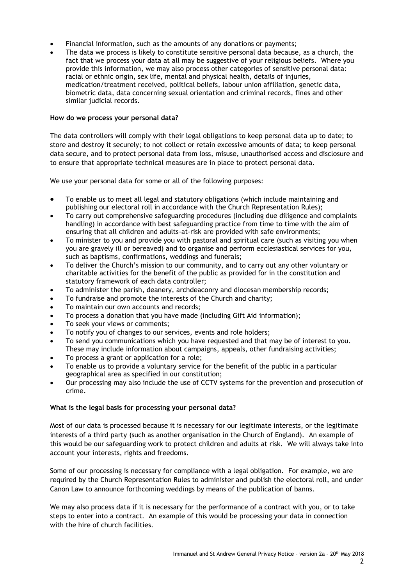- Financial information, such as the amounts of any donations or payments;
- The data we process is likely to constitute sensitive personal data because, as a church, the fact that we process your data at all may be suggestive of your religious beliefs. Where you provide this information, we may also process other categories of sensitive personal data: racial or ethnic origin, sex life, mental and physical health, details of injuries, medication/treatment received, political beliefs, labour union affiliation, genetic data, biometric data, data concerning sexual orientation and criminal records, fines and other similar judicial records.

## **How do we process your personal data?**

The data controllers will comply with their legal obligations to keep personal data up to date; to store and destroy it securely; to not collect or retain excessive amounts of data; to keep personal data secure, and to protect personal data from loss, misuse, unauthorised access and disclosure and to ensure that appropriate technical measures are in place to protect personal data.

We use your personal data for some or all of the following purposes:

- To enable us to meet all legal and statutory obligations (which include maintaining and publishing our electoral roll in accordance with the Church Representation Rules);
- To carry out comprehensive safeguarding procedures (including due diligence and complaints handling) in accordance with best safeguarding practice from time to time with the aim of ensuring that all children and adults-at-risk are provided with safe environments;
- To minister to you and provide you with pastoral and spiritual care (such as visiting you when you are gravely ill or bereaved) and to organise and perform ecclesiastical services for you, such as baptisms, confirmations, weddings and funerals;
- To deliver the Church's mission to our community, and to carry out any other voluntary or charitable activities for the benefit of the public as provided for in the constitution and statutory framework of each data controller;
- To administer the parish, deanery, archdeaconry and diocesan membership records;
- To fundraise and promote the interests of the Church and charity;
- To maintain our own accounts and records;
- To process a donation that you have made (including Gift Aid information);
- To seek your views or comments;
- To notify you of changes to our services, events and role holders;
- To send you communications which you have requested and that may be of interest to you. These may include information about campaigns, appeals, other fundraising activities;
- To process a grant or application for a role;
- To enable us to provide a voluntary service for the benefit of the public in a particular geographical area as specified in our constitution;
- Our processing may also include the use of CCTV systems for the prevention and prosecution of crime.

#### **What is the legal basis for processing your personal data?**

Most of our data is processed because it is necessary for our legitimate interests, or the legitimate interests of a third party (such as another organisation in the Church of England). An example of this would be our safeguarding work to protect children and adults at risk. We will always take into account your interests, rights and freedoms.

Some of our processing is necessary for compliance with a legal obligation. For example, we are required by the Church Representation Rules to administer and publish the electoral roll, and under Canon Law to announce forthcoming weddings by means of the publication of banns.

We may also process data if it is necessary for the performance of a contract with you, or to take steps to enter into a contract. An example of this would be processing your data in connection with the hire of church facilities.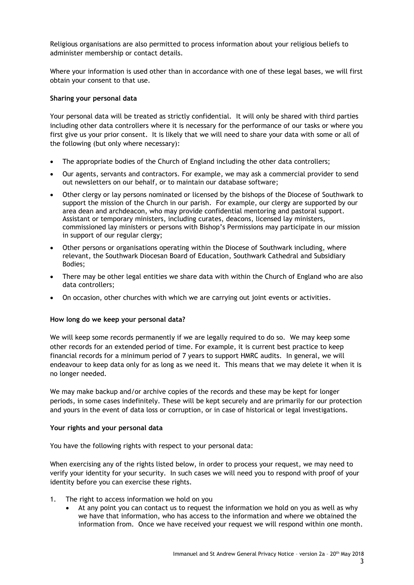Religious organisations are also permitted to process information about your religious beliefs to administer membership or contact details.

Where your information is used other than in accordance with one of these legal bases, we will first obtain your consent to that use.

### **Sharing your personal data**

Your personal data will be treated as strictly confidential. It will only be shared with third parties including other data controllers where it is necessary for the performance of our tasks or where you first give us your prior consent. It is likely that we will need to share your data with some or all of the following (but only where necessary):

- The appropriate bodies of the Church of England including the other data controllers;
- Our agents, servants and contractors. For example, we may ask a commercial provider to send out newsletters on our behalf, or to maintain our database software;
- Other clergy or lay persons nominated or licensed by the bishops of the Diocese of Southwark to support the mission of the Church in our parish. For example, our clergy are supported by our area dean and archdeacon, who may provide confidential mentoring and pastoral support. Assistant or temporary ministers, including curates, deacons, licensed lay ministers, commissioned lay ministers or persons with Bishop's Permissions may participate in our mission in support of our regular clergy;
- Other persons or organisations operating within the Diocese of Southwark including, where relevant, the Southwark Diocesan Board of Education, Southwark Cathedral and Subsidiary Bodies;
- There may be other legal entities we share data with within the Church of England who are also data controllers;
- On occasion, other churches with which we are carrying out joint events or activities.

#### **How long do we keep your personal data?**

We will keep some records permanently if we are legally required to do so. We may keep some other records for an extended period of time. For example, it is current best practice to keep financial records for a minimum period of 7 years to support HMRC audits. In general, we will endeavour to keep data only for as long as we need it. This means that we may delete it when it is no longer needed.

We may make backup and/or archive copies of the records and these may be kept for longer periods, in some cases indefinitely. These will be kept securely and are primarily for our protection and yours in the event of data loss or corruption, or in case of historical or legal investigations.

#### **Your rights and your personal data**

You have the following rights with respect to your personal data:

When exercising any of the rights listed below, in order to process your request, we may need to verify your identity for your security. In such cases we will need you to respond with proof of your identity before you can exercise these rights.

- 1. The right to access information we hold on you
	- At any point you can contact us to request the information we hold on you as well as why we have that information, who has access to the information and where we obtained the information from. Once we have received your request we will respond within one month.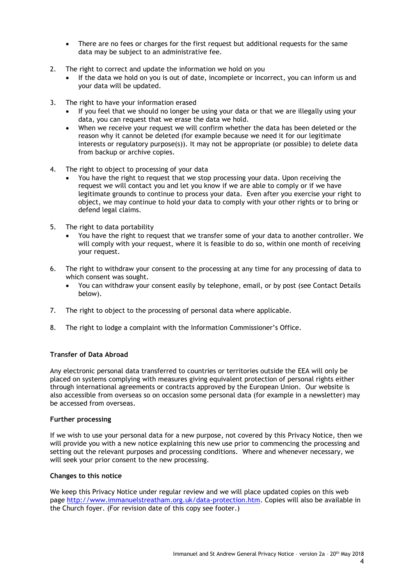- There are no fees or charges for the first request but additional requests for the same data may be subject to an administrative fee.
- 2. The right to correct and update the information we hold on you
	- If the data we hold on you is out of date, incomplete or incorrect, you can inform us and your data will be updated.
- 3. The right to have your information erased
	- If you feel that we should no longer be using your data or that we are illegally using your data, you can request that we erase the data we hold.
	- When we receive your request we will confirm whether the data has been deleted or the reason why it cannot be deleted (for example because we need it for our legitimate interests or regulatory purpose(s)). It may not be appropriate (or possible) to delete data from backup or archive copies.
- 4. The right to object to processing of your data
	- You have the right to request that we stop processing your data. Upon receiving the request we will contact you and let you know if we are able to comply or if we have legitimate grounds to continue to process your data. Even after you exercise your right to object, we may continue to hold your data to comply with your other rights or to bring or defend legal claims.
- 5. The right to data portability
	- You have the right to request that we transfer some of your data to another controller. We will comply with your request, where it is feasible to do so, within one month of receiving your request.
- 6. The right to withdraw your consent to the processing at any time for any processing of data to which consent was sought.
	- You can withdraw your consent easily by telephone, email, or by post (see Contact Details below).
- 7. The right to object to the processing of personal data where applicable.
- 8. The right to lodge a complaint with the Information Commissioner's Office.

#### **Transfer of Data Abroad**

Any electronic personal data transferred to countries or territories outside the EEA will only be placed on systems complying with measures giving equivalent protection of personal rights either through international agreements or contracts approved by the European Union. Our website is also accessible from overseas so on occasion some personal data (for example in a newsletter) may be accessed from overseas.

#### **Further processing**

If we wish to use your personal data for a new purpose, not covered by this Privacy Notice, then we will provide you with a new notice explaining this new use prior to commencing the processing and setting out the relevant purposes and processing conditions. Where and whenever necessary, we will seek your prior consent to the new processing.

#### **Changes to this notice**

We keep this Privacy Notice under regular review and we will place updated copies on this web page [http://www.immanuelstreatham.org.uk/data-protection.htm.](http://www.immanuelstreatham.org.uk/data-protection.htm) Copies will also be available in the Church foyer. (For revision date of this copy see footer.)